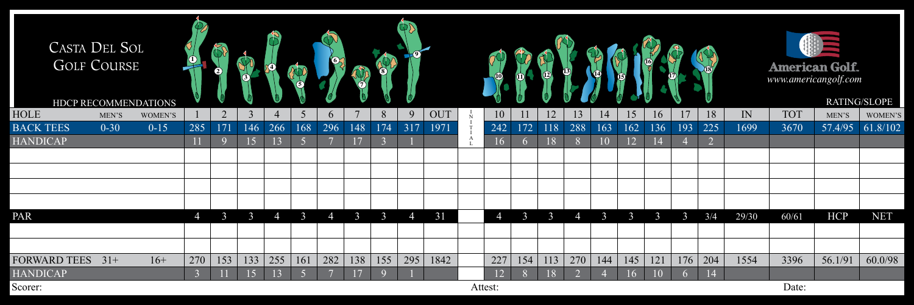| <b>CASTA DEL SOL</b><br><b>GOLF COURSE</b><br>HDCP RECOMMENDATIONS |          |          |                |     |               | $\mathcal{P}_1$ |              |          |                |     |                |            |              |                |          |     |          |                                |     |     |               | $\chi_{18}$    |       |            | <b>American Golf.</b><br>www.americangolf.com | RATING/SLOPE |
|--------------------------------------------------------------------|----------|----------|----------------|-----|---------------|-----------------|--------------|----------|----------------|-----|----------------|------------|--------------|----------------|----------|-----|----------|--------------------------------|-----|-----|---------------|----------------|-------|------------|-----------------------------------------------|--------------|
| <b>HOLE</b>                                                        | MEN'S    | WOMEN'S  |                | 2   | 3             | $\overline{4}$  | 5            | $\sigma$ | $\mathbf{7}$   | 8   | $\mathbf Q$    | <b>OUT</b> |              | 10             | 11       | 12  | 13       | $\left\lfloor 4 \right\rfloor$ | 15  | 16  | 17            | 18             | IN    | <b>TOT</b> | MEN'S                                         | WOMEN'S      |
| <b>BACK TEES</b>                                                   | $0 - 30$ | $0 - 15$ | 285            | 171 | 146           | 266             | 168          | 296      | 148            | 174 | 317            | 1971       |              | 242            | 172      | 118 | 288      | 163                            | 162 | 136 | 193           | 225            | 1699  | 3670       | 57.4/95                                       | 61.8/102     |
| <b>HANDICAP</b>                                                    |          |          |                |     | 15            | 13              |              |          | 17             | 3   |                |            | $\mathbf{A}$ | 16             | $\sigma$ | 18  |          | 10                             | 12  |     |               | $\overline{2}$ |       |            |                                               |              |
|                                                                    |          |          |                |     |               |                 |              |          |                |     |                |            |              |                |          |     |          |                                |     |     |               |                |       |            |                                               |              |
|                                                                    |          |          |                |     |               |                 |              |          |                |     |                |            |              |                |          |     |          |                                |     |     |               |                |       |            |                                               |              |
|                                                                    |          |          |                |     |               |                 |              |          |                |     |                |            |              |                |          |     |          |                                |     |     |               |                |       |            |                                               |              |
|                                                                    |          |          |                |     |               |                 |              |          |                |     |                |            |              |                |          |     |          |                                |     |     |               |                |       |            |                                               |              |
| PAR                                                                |          |          | $\overline{4}$ |     | $\mathcal{E}$ | $\overline{4}$  | $\mathbf{R}$ | 4        | $\mathfrak{Z}$ | 3   | $\overline{4}$ | 31         |              | $\overline{4}$ | 3        | 3   | $\Delta$ | 3                              | 3   | 3   | $\mathcal{E}$ | 3/4            | 29/30 | 60/61      | <b>HCP</b>                                    | <b>NET</b>   |
|                                                                    |          |          |                |     |               |                 |              |          |                |     |                |            |              |                |          |     |          |                                |     |     |               |                |       |            |                                               |              |
|                                                                    |          |          |                |     |               |                 |              |          |                |     |                |            |              |                |          |     |          |                                |     |     |               |                |       |            |                                               |              |
| <b>FORWARD TEES</b>                                                | $31+$    | $16+$    | 270            | 153 | 133           | 255             | 161          | 282      | 138            | 155 | 295            | 1842       |              | 227            | 154      | 113 | 270      | 144                            | 145 | 121 | 176           | $204$          | 1554  | 3396       | 56.1/91                                       | 60.0/98      |
| <b>HANDICAP</b>                                                    |          |          |                |     | 15            |                 |              |          | 17             |     |                |            |              | 12             | 8        | 18  |          |                                | 16  | 10  |               | 14             |       |            |                                               |              |
| Scorer:                                                            |          |          |                |     |               |                 |              |          |                |     |                |            |              | Attest:        |          |     |          |                                |     |     |               |                |       | Date:      |                                               |              |